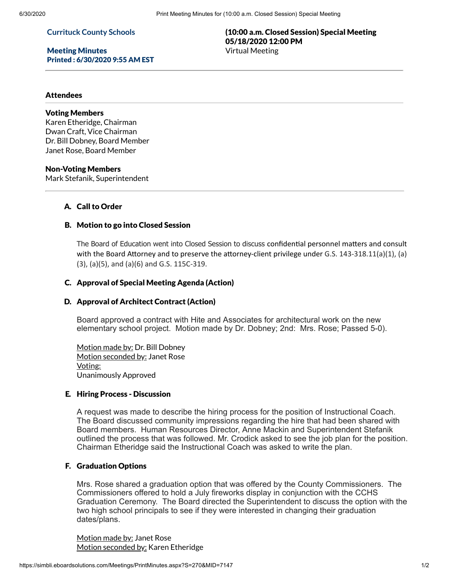#### **Currituck County Schools**

Meeting Minutes Printed : 6/30/2020 9:55 AM EST

## (10:00 a.m. Closed Session) Special Meeting 05/18/2020 12:00 PM Virtual Meeting

#### **Attendees**

# Voting Members

Karen Etheridge, Chairman Dwan Craft, Vice Chairman Dr. Bill Dobney, Board Member Janet Rose, Board Member

#### Non-Voting Members

Mark Stefanik, Superintendent

## A. Call to Order

#### B. Motion to go into Closed Session

The Board of Education went into Closed Session to discuss confidential personnel matters and consult with the Board Attorney and to preserve the attorney-client privilege under G.S. 143-318.11(a)(1), (a) (3), (a)(5), and (a)(6) and G.S. 115C-319.

#### C. Approval of Special Meeting Agenda (Action)

#### D. Approval of Architect Contract (Action)

Board approved a contract with Hite and Associates for architectural work on the new elementary school project. Motion made by Dr. Dobney; 2nd: Mrs. Rose; Passed 5-0).

Motion made by: Dr. Bill Dobney Motion seconded by: Janet Rose Voting: Unanimously Approved

#### E. Hiring Process - Discussion

A request was made to describe the hiring process for the position of Instructional Coach. The Board discussed community impressions regarding the hire that had been shared with Board members. Human Resources Director, Anne Mackin and Superintendent Stefanik outlined the process that was followed. Mr. Crodick asked to see the job plan for the position. Chairman Etheridge said the Instructional Coach was asked to write the plan.

#### F. Graduation Options

Mrs. Rose shared a graduation option that was offered by the County Commissioners. The Commissioners offered to hold a July fireworks display in conjunction with the CCHS Graduation Ceremony. The Board directed the Superintendent to discuss the option with the two high school principals to see if they were interested in changing their graduation dates/plans.

Motion made by: Janet Rose Motion seconded by: Karen Etheridge